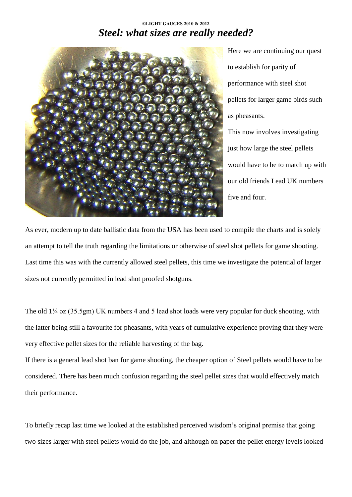# **©LIGHT GAUGES 2010 & 2012** *Steel: what sizes are really needed?*



Here we are continuing our quest to establish for parity of performance with steel shot pellets for larger game birds such as pheasants. This now involves investigating

just how large the steel pellets would have to be to match up with our old friends Lead UK numbers five and four.

As ever, modern up to date ballistic data from the USA has been used to compile the charts and is solely an attempt to tell the truth regarding the limitations or otherwise of steel shot pellets for game shooting. Last time this was with the currently allowed steel pellets, this time we investigate the potential of larger sizes not currently permitted in lead shot proofed shotguns.

The old  $1/4$  oz (35.5gm) UK numbers 4 and 5 lead shot loads were very popular for duck shooting, with the latter being still a favourite for pheasants, with years of cumulative experience proving that they were very effective pellet sizes for the reliable harvesting of the bag.

If there is a general lead shot ban for game shooting, the cheaper option of Steel pellets would have to be considered. There has been much confusion regarding the steel pellet sizes that would effectively match their performance.

To briefly recap last time we looked at the established perceived wisdom's original premise that going two sizes larger with steel pellets would do the job, and although on paper the pellet energy levels looked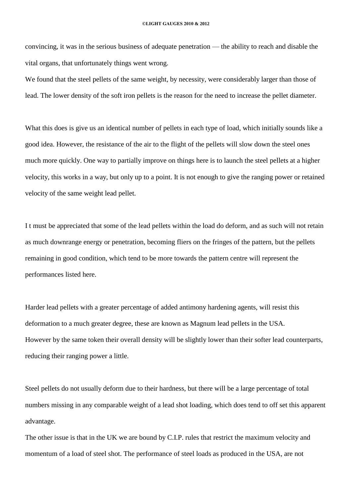convincing, it was in the serious business of adequate penetration — the ability to reach and disable the vital organs, that unfortunately things went wrong.

We found that the steel pellets of the same weight, by necessity, were considerably larger than those of lead. The lower density of the soft iron pellets is the reason for the need to increase the pellet diameter.

What this does is give us an identical number of pellets in each type of load, which initially sounds like a good idea. However, the resistance of the air to the flight of the pellets will slow down the steel ones much more quickly. One way to partially improve on things here is to launch the steel pellets at a higher velocity, this works in a way, but only up to a point. It is not enough to give the ranging power or retained velocity of the same weight lead pellet.

I t must be appreciated that some of the lead pellets within the load do deform, and as such will not retain as much downrange energy or penetration, becoming fliers on the fringes of the pattern, but the pellets remaining in good condition, which tend to be more towards the pattern centre will represent the performances listed here.

Harder lead pellets with a greater percentage of added antimony hardening agents, will resist this deformation to a much greater degree, these are known as Magnum lead pellets in the USA. However by the same token their overall density will be slightly lower than their softer lead counterparts, reducing their ranging power a little.

Steel pellets do not usually deform due to their hardness, but there will be a large percentage of total numbers missing in any comparable weight of a lead shot loading, which does tend to off set this apparent advantage.

The other issue is that in the UK we are bound by C.I.P. rules that restrict the maximum velocity and momentum of a load of steel shot. The performance of steel loads as produced in the USA, are not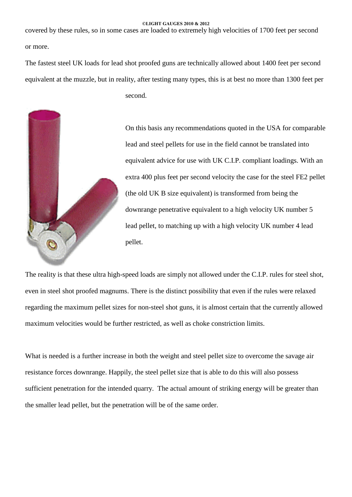covered by these rules, so in some cases are loaded to extremely high velocities of 1700 feet per second or more.

The fastest steel UK loads for lead shot proofed guns are technically allowed about 1400 feet per second equivalent at the muzzle, but in reality, after testing many types, this is at best no more than 1300 feet per

second.



On this basis any recommendations quoted in the USA for comparable lead and steel pellets for use in the field cannot be translated into equivalent advice for use with UK C.I.P. compliant loadings. With an extra 400 plus feet per second velocity the case for the steel FE2 pellet (the old UK B size equivalent) is transformed from being the downrange penetrative equivalent to a high velocity UK number 5 lead pellet, to matching up with a high velocity UK number 4 lead pellet.

The reality is that these ultra high-speed loads are simply not allowed under the C.I.P. rules for steel shot, even in steel shot proofed magnums. There is the distinct possibility that even if the rules were relaxed regarding the maximum pellet sizes for non-steel shot guns, it is almost certain that the currently allowed maximum velocities would be further restricted, as well as choke constriction limits.

What is needed is a further increase in both the weight and steel pellet size to overcome the savage air resistance forces downrange. Happily, the steel pellet size that is able to do this will also possess sufficient penetration for the intended quarry. The actual amount of striking energy will be greater than the smaller lead pellet, but the penetration will be of the same order.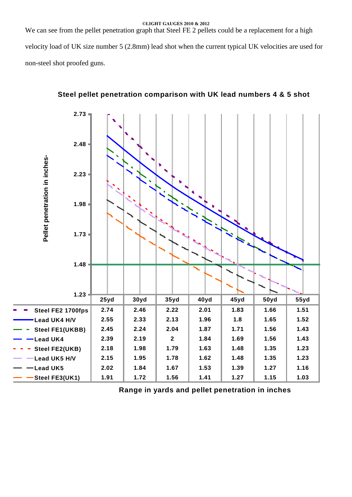We can see from the pellet penetration graph that Steel FE 2 pellets could be a replacement for a high velocity load of UK size number 5 (2.8mm) lead shot when the current typical UK velocities are used for non-steel shot proofed guns.



# **Steel pellet penetration comparison with UK lead numbers 4 & 5 shot**

**Range in yards and pellet penetration in inches**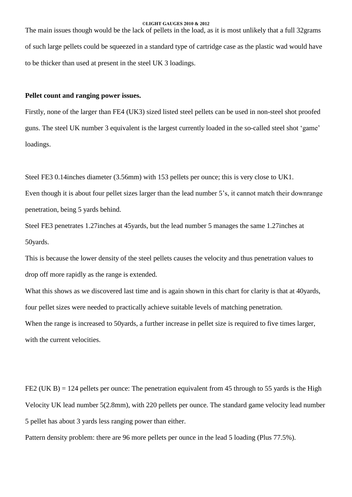The main issues though would be the lack of pellets in the load, as it is most unlikely that a full 32grams of such large pellets could be squeezed in a standard type of cartridge case as the plastic wad would have to be thicker than used at present in the steel UK 3 loadings.

## **Pellet count and ranging power issues.**

Firstly, none of the larger than FE4 (UK3) sized listed steel pellets can be used in non-steel shot proofed guns. The steel UK number 3 equivalent is the largest currently loaded in the so-called steel shot 'game' loadings.

Steel FE3 0.14inches diameter (3.56mm) with 153 pellets per ounce; this is very close to UK1.

Even though it is about four pellet sizes larger than the lead number 5's, it cannot match their downrange penetration, being 5 yards behind.

Steel FE3 penetrates 1.27inches at 45yards, but the lead number 5 manages the same 1.27inches at 50yards.

This is because the lower density of the steel pellets causes the velocity and thus penetration values to drop off more rapidly as the range is extended.

What this shows as we discovered last time and is again shown in this chart for clarity is that at 40yards, four pellet sizes were needed to practically achieve suitable levels of matching penetration. When the range is increased to 50yards, a further increase in pellet size is required to five times larger, with the current velocities.

FE2 (UK B) = 124 pellets per ounce: The penetration equivalent from 45 through to 55 yards is the High Velocity UK lead number 5(2.8mm), with 220 pellets per ounce. The standard game velocity lead number 5 pellet has about 3 yards less ranging power than either.

Pattern density problem: there are 96 more pellets per ounce in the lead 5 loading (Plus 77.5%).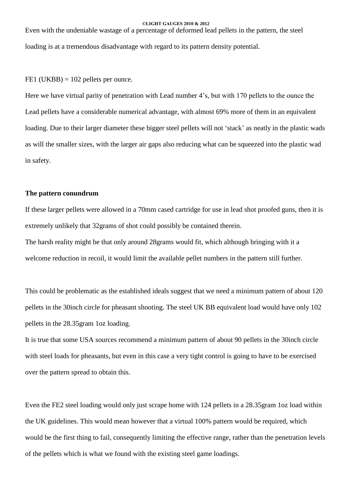Even with the undeniable wastage of a percentage of deformed lead pellets in the pattern, the steel loading is at a tremendous disadvantage with regard to its pattern density potential.

 $FE1$  (UKBB) = 102 pellets per ounce.

Here we have virtual parity of penetration with Lead number 4's, but with 170 pellets to the ounce the Lead pellets have a considerable numerical advantage, with almost 69% more of them in an equivalent loading. Due to their larger diameter these bigger steel pellets will not 'stack' as neatly in the plastic wads as will the smaller sizes, with the larger air gaps also reducing what can be squeezed into the plastic wad in safety.

#### **The pattern conundrum**

If these larger pellets were allowed in a 70mm cased cartridge for use in lead shot proofed guns, then it is extremely unlikely that 32grams of shot could possibly be contained therein.

The harsh reality might be that only around 28grams would fit, which although bringing with it a welcome reduction in recoil, it would limit the available pellet numbers in the pattern still further.

This could be problematic as the established ideals suggest that we need a minimum pattern of about 120 pellets in the 30inch circle for pheasant shooting. The steel UK BB equivalent load would have only 102 pellets in the 28.35gram 1oz loading.

It is true that some USA sources recommend a minimum pattern of about 90 pellets in the 30inch circle with steel loads for pheasants, but even in this case a very tight control is going to have to be exercised over the pattern spread to obtain this.

Even the FE2 steel loading would only just scrape home with 124 pellets in a 28.35gram 1oz load within the UK guidelines. This would mean however that a virtual 100% pattern would be required, which would be the first thing to fail, consequently limiting the effective range, rather than the penetration levels of the pellets which is what we found with the existing steel game loadings.